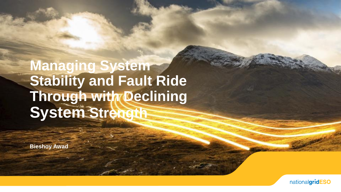**Managing System** Stability and Fault Ride Through with Declining System Strength

**Bieshoy Awad** 

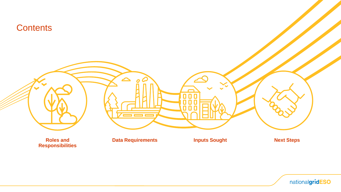

nationalgridESO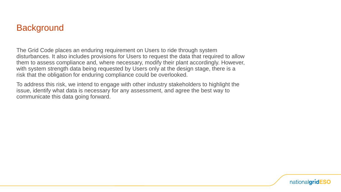#### **Background**

The Grid Code places an enduring requirement on Users to ride through system disturbances. It also includes provisions for Users to request the data that required to allow them to assess compliance and, where necessary, modify their plant accordingly. However, with system strength data being requested by Users only at the design stage, there is a risk that the obligation for enduring compliance could be overlooked.

To address this risk, we intend to engage with other industry stakeholders to highlight the issue, identify what data is necessary for any assessment, and agree the best way to communicate this data going forward.

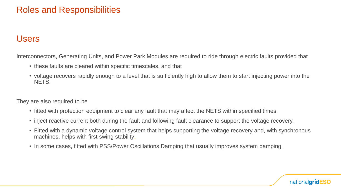## Roles and Responsibilities

#### Users

Interconnectors, Generating Units, and Power Park Modules are required to ride through electric faults provided that

- these faults are cleared within specific timescales, and that
- voltage recovers rapidly enough to a level that is sufficiently high to allow them to start injecting power into the NETS.

They are also required to be

- fitted with protection equipment to clear any fault that may affect the NETS within specified times.
- inject reactive current both during the fault and following fault clearance to support the voltage recovery.
- Fitted with a dynamic voltage control system that helps supporting the voltage recovery and, with synchronous machines, helps with first swing stability.
- In some cases, fitted with PSS/Power Oscillations Damping that usually improves system damping.

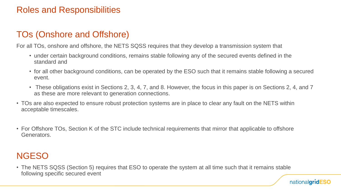## Roles and Responsibilities

# TOs (Onshore and Offshore)

For all TOs, onshore and offshore, the NETS SQSS requires that they develop a transmission system that

- under certain background conditions, remains stable following any of the secured events defined in the standard and
- for all other background conditions, can be operated by the ESO such that it remains stable following a secured event.
- These obligations exist in Sections 2, 3, 4, 7, and 8. However, the focus in this paper is on Sections 2, 4, and 7 as these are more relevant to generation connections.
- TOs are also expected to ensure robust protection systems are in place to clear any fault on the NETS within acceptable timescales.
- For Offshore TOs, Section K of the STC include technical requirements that mirror that applicable to offshore Generators.

# NGESO

• The NETS SQSS (Section 5) requires that ESO to operate the system at all time such that it remains stable following specific secured event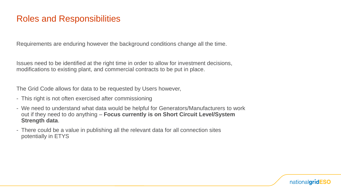### Roles and Responsibilities

Requirements are enduring however the background conditions change all the time.

Issues need to be identified at the right time in order to allow for investment decisions, modifications to existing plant, and commercial contracts to be put in place.

The Grid Code allows for data to be requested by Users however,

- This right is not often exercised after commissioning
- We need to understand what data would be helpful for Generators/Manufacturers to work out if they need to do anything – **Focus currently is on Short Circuit Level/System Strength data**.
- There could be a value in publishing all the relevant data for all connection sites potentially in ETYS

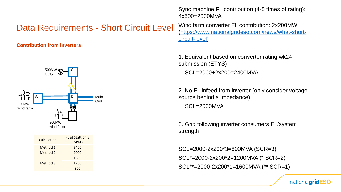### Data Requirements - Short Circuit Level

**Contribution from Inverters**



| Calculation | <b>FL</b> at Stattion B<br>(MVA) |
|-------------|----------------------------------|
| Method 1    | 2400                             |
| Method 2    | 2000                             |
| Method 3    | 1600                             |
|             | 1200                             |
|             | 800                              |

Sync machine FL contribution (4-5 times of rating): 4x500=2000MVA

Wind farm converter FL contribution: 2x200MW [\(https://www.nationalgrideso.com/news/what-short](https://www.nationalgrideso.com/news/what-short-circuit-level)circuit-level)

1. Equivalent based on converter rating wk24 submission (ETYS) SCL=2000+2x200=2400MVA

2. No FL infeed from inverter (only consider voltage source behind a impedance) SCL=2000MVA

3. Grid following inverter consumers FL/system strength

SCL=2000-2x200\*3=800MVA (SCR=3) SCL\*=2000-2x200\*2=1200MVA (\* SCR=2) SCL\*\*=2000-2x200\*1=1600MVA (\*\* SCR=1)

nationalgridESO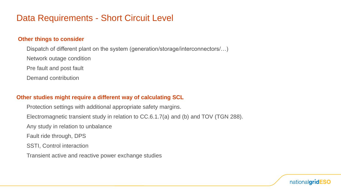### Data Requirements - Short Circuit Level

#### **Other things to consider**

Dispatch of different plant on the system (generation/storage/interconnectors/…)

Network outage condition

Pre fault and post fault

Demand contribution

#### **Other studies might require a different way of calculating SCL**

Protection settings with additional appropriate safety margins.

Electromagnetic transient study in relation to CC.6.1.7(a) and (b) and TOV (TGN 288).

Any study in relation to unbalance

Fault ride through, DPS

SSTI, Control interaction

Transient active and reactive power exchange studies

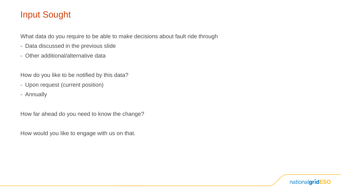## Input Sought

What data do you require to be able to make decisions about fault ride through

- Data discussed in the previous slide
- Other additional/alternative data

How do you like to be notified by this data?

- Upon request (current position)
- Annually

How far ahead do you need to know the change?

How would you like to engage with us on that.

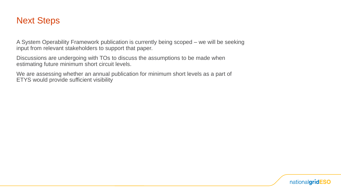## Next Steps

A System Operability Framework publication is currently being scoped – we will be seeking input from relevant stakeholders to support that paper.

Discussions are undergoing with TOs to discuss the assumptions to be made when estimating future minimum short circuit levels.

We are assessing whether an annual publication for minimum short levels as a part of ETYS would provide sufficient visibility